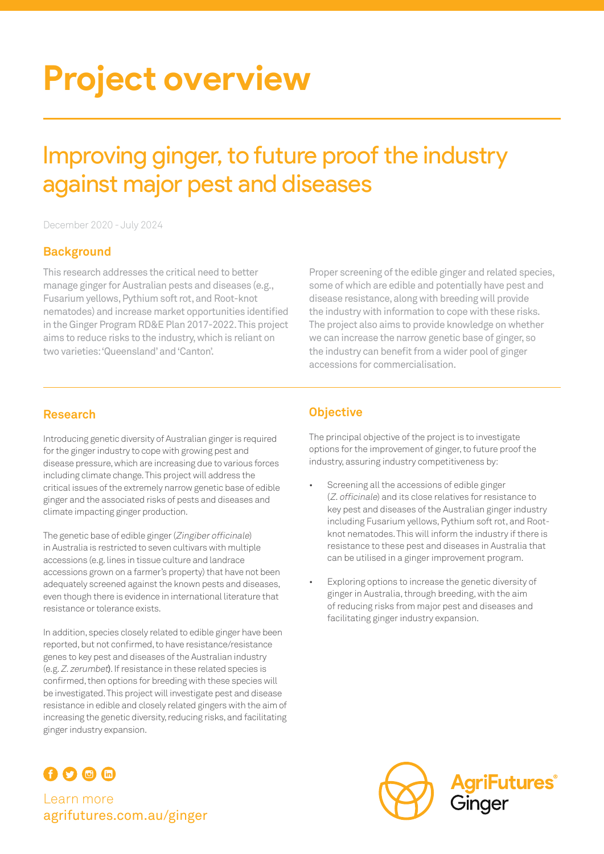# **Project overview**

## Improving ginger, to future proof the industry against major pest and diseases

December 2020 - July 2024

#### **Background**

This research addresses the critical need to better manage ginger for Australian pests and diseases (e.g., Fusarium yellows, Pythium soft rot, and Root-knot nematodes) and increase market opportunities identified in the Ginger Program RD&E Plan 2017-2022. This project aims to reduce risks to the industry, which is reliant on two varieties: 'Queensland' and 'Canton'.

Proper screening of the edible ginger and related species, some of which are edible and potentially have pest and disease resistance, along with breeding will provide the industry with information to cope with these risks. The project also aims to provide knowledge on whether we can increase the narrow genetic base of ginger, so the industry can benefit from a wider pool of ginger accessions for commercialisation.

#### **Research**

Introducing genetic diversity of Australian ginger is required for the ginger industry to cope with growing pest and disease pressure, which are increasing due to various forces including climate change. This project will address the critical issues of the extremely narrow genetic base of edible ginger and the associated risks of pests and diseases and climate impacting ginger production.

The genetic base of edible ginger (Zingiber officinale) in Australia is restricted to seven cultivars with multiple accessions (e.g. lines in tissue culture and landrace accessions grown on a farmer's property) that have not been adequately screened against the known pests and diseases, even though there is evidence in international literature that resistance or tolerance exists.

In addition, species closely related to edible ginger have been reported, but not confirmed, to have resistance/resistance genes to key pest and diseases of the Australian industry (e.g. Z. zerumbet). If resistance in these related species is confirmed, then options for breeding with these species will be investigated. This project will investigate pest and disease resistance in edible and closely related gingers with the aim of increasing the genetic diversity, reducing risks, and facilitating ginger industry expansion.

### $0000$

Learn more [agrifutures.com.au/g](http://agrifutures.com.au/ginger)inger

#### **Objective**

The principal objective of the project is to investigate options for the improvement of ginger, to future proof the industry, assuring industry competitiveness by:

- Screening all the accessions of edible ginger (Z. officinale) and its close relatives for resistance to key pest and diseases of the Australian ginger industry including Fusarium yellows, Pythium soft rot, and Rootknot nematodes. This will inform the industry if there is resistance to these pest and diseases in Australia that can be utilised in a ginger improvement program.
- Exploring options to increase the genetic diversity of ginger in Australia, through breeding, with the aim of reducing risks from major pest and diseases and facilitating ginger industry expansion.